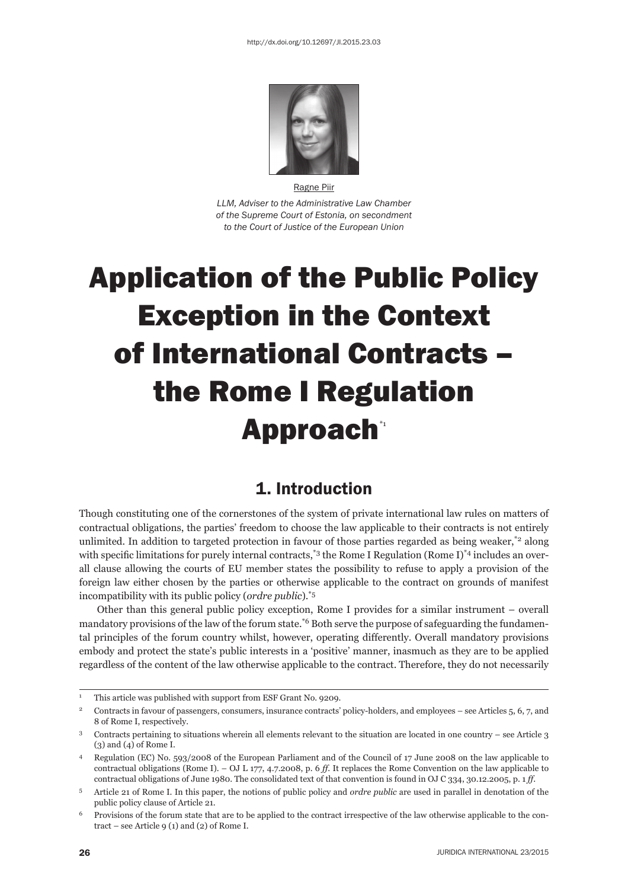

Ragne Piir *LLM, Adviser to the Administrative Law Chamber of the Supreme Court of Estonia, on secondment to the Court of Justice of the European Union*

# Application of the Public Policy Exception in the Context of International Contracts – the Rome I Regulation Approach\*1

## 1. Introduction

Though constituting one of the cornerstones of the system of private international law rules on matters of contractual obligations, the parties' freedom to choose the law applicable to their contracts is not entirely unlimited. In addition to targeted protection in favour of those parties regarded as being weaker, $z^2$  along with specific limitations for purely internal contracts,<sup>\*3</sup> the Rome I Regulation (Rome I)<sup>\*4</sup> includes an overall clause allowing the courts of EU member states the possibility to refuse to apply a provision of the foreign law either chosen by the parties or otherwise applicable to the contract on grounds of manifest incompatibility with its public policy (*ordre public*).\*5

Other than this general public policy exception, Rome I provides for a similar instrument – overall mandatory provisions of the law of the forum state.<sup>\*6</sup> Both serve the purpose of safeguarding the fundamental principles of the forum country whilst, however, operating differently. Overall mandatory provisions embody and protect the state's public interests in a 'positive' manner, inasmuch as they are to be applied regardless of the content of the law otherwise applicable to the contract. Therefore, they do not necessarily

<sup>1</sup> This article was published with support from ESF Grant No. 9209.

<sup>&</sup>lt;sup>2</sup> Contracts in favour of passengers, consumers, insurance contracts' policy-holders, and employees – see Articles 5, 6, 7, and 8 of Rome I, respectively.

<sup>3</sup> Contracts pertaining to situations wherein all elements relevant to the situation are located in one country – see Article 3 (3) and (4) of Rome I.

<sup>4</sup> Regulation (EC) No. 593/2008 of the European Parliament and of the Council of 17 June 2008 on the law applicable to contractual obligations (Rome I). – OJ L 177, 4.7.2008, p. 6 *ff*. It replaces the Rome Convention on the law applicable to contractual obligations of June 1980. The consolidated text of that convention is found in OJ C 334, 30.12.2005, p. 1 *ff*.

<sup>5</sup> Article 21 of Rome I. In this paper, the notions of public policy and *ordre public* are used in parallel in denotation of the public policy clause of Article 21.

<sup>6</sup> Provisions of the forum state that are to be applied to the contract irrespective of the law otherwise applicable to the contract – see Article 9 (1) and (2) of Rome I.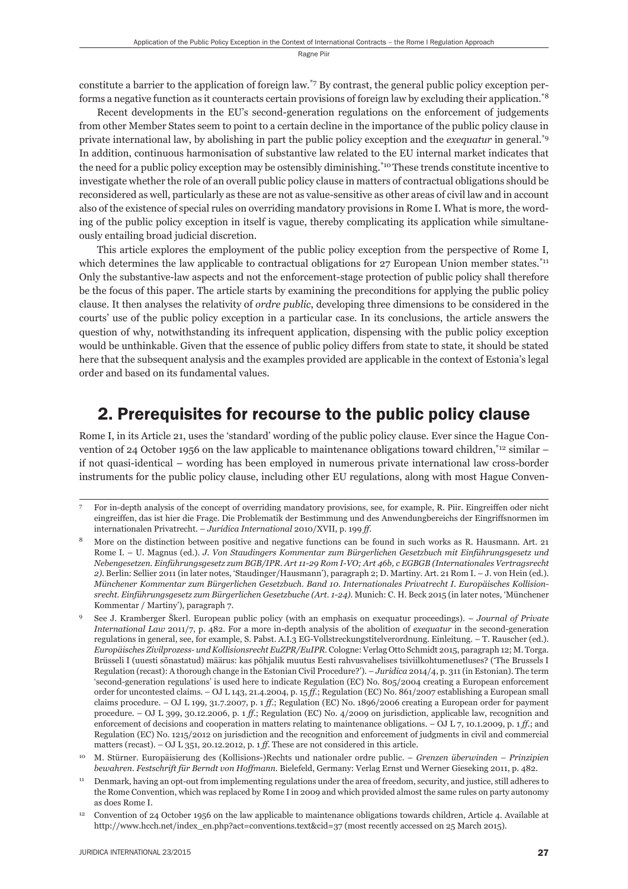constitute a barrier to the application of foreign law.\*7 By contrast, the general public policy exception performs a negative function as it counteracts certain provisions of foreign law by excluding their application.\*8

Recent developments in the EU's second-generation regulations on the enforcement of judgements from other Member States seem to point to a certain decline in the importance of the public policy clause in private international law, by abolishing in part the public policy exception and the *exequatur* in general.\*9 In addition, continuous harmonisation of substantive law related to the EU internal market indicates that the need for a public policy exception may be ostensibly diminishing.<sup>\*10</sup> These trends constitute incentive to investigate whether the role of an overall public policy clause in matters of contractual obligations should be reconsidered as well, particularly as these are not as value-sensitive as other areas of civil law and in account also of the existence of special rules on overriding mandatory provisions in Rome I. What is more, the wording of the public policy exception in itself is vague, thereby complicating its application while simultaneously entailing broad judicial discretion.

This article explores the employment of the public policy exception from the perspective of Rome I, which determines the law applicable to contractual obligations for 27 European Union member states.<sup>\*11</sup> Only the substantive-law aspects and not the enforcement-stage protection of public policy shall therefore be the focus of this paper. The article starts by examining the preconditions for applying the public policy clause. It then analyses the relativity of *ordre public*, developing three dimensions to be considered in the courts' use of the public policy exception in a particular case. In its conclusions, the article answers the question of why, notwithstanding its infrequent application, dispensing with the public policy exception would be unthinkable. Given that the essence of public policy differs from state to state, it should be stated here that the subsequent analysis and the examples provided are applicable in the context of Estonia's legal order and based on its fundamental values.

# 2. Prerequisites for recourse to the public policy clause

Rome I, in its Article 21, uses the 'standard' wording of the public policy clause. Ever since the Hague Convention of 24 October 1956 on the law applicable to maintenance obligations toward children,<sup>\*12</sup> similar – if not quasi-identical – wording has been employed in numerous private international law cross-border instruments for the public policy clause, including other EU regulations, along with most Hague Conven-

<sup>7</sup> For in-depth analysis of the concept of overriding mandatory provisions, see, for example, R. Piir. Eingreiffen oder nicht eingreiffen, das ist hier die Frage. Die Problematik der Bestimmung und des Anwendungbereichs der Eingriffsnormen im internationalen Privatrecht. – *Juridica International* 2010/XVII, p. 199 *ff*.

<sup>8</sup> More on the distinction between positive and negative functions can be found in such works as R. Hausmann. Art. 21 Rome I. – U. Magnus (ed.). *J. Von Staudingers Kommentar zum Bürgerlichen Gesetzbuch mit Einführungsgesetz und Nebengesetzen. Einführungsgesetz zum BGB/IPR. Art 11-29 Rom I-VO; Art 46b, c EGBGB (Internationales Vertragsrecht 2)*. Berlin: Sellier 2011 (in later notes, 'Staudinger/Hausmann'), paragraph 2; D. Martiny. Art. 21 Rom I. – J. von Hein (ed.). *Münchener Kommentar zum Bürgerlichen Gesetzbuch. Band 10. Internationales Privatrecht I. Europäisches Kollisionsrecht. Ein führungsgesetz zum Bürgerlichen Gesetzbuche (Art. 1-24)*. Munich: C. H. Beck 2015 (in later notes, 'Münchener Kommentar / Martiny'), paragraph 7.

<sup>9</sup> See J. Kramberger Škerl. European public policy (with an emphasis on exequatur proceedings). – *Journal of Private International Law* 2011/7, p. 482. For a more in-depth analysis of the abolition of *exequatur* in the second-generation regulations in general, see, for example, S. Pabst. A.I.3 EG-Vollstreckungstitelverordnung. Einleitung. – T. Rauscher (ed.). *Europäisches Zivilprozess- und Kollisionsrecht EuZPR/EuIPR*. Cologne: Verlag Otto Schmidt 2015, paragraph 12; M. Torga. Brüsseli I (uuesti sõnastatud) määrus: kas põhjalik muutus Eesti rahvusvahelises tsiviilkohtumenetluses? ('The Brussels I Regulation (recast): A thorough change in the Estonian Civil Procedure?'). – *Juridica* 2014/4, p. 311 (in Estonian). The term 'second-generation regulations' is used here to indicate Regulation (EC) No. 805/2004 creating a European enforcement order for uncontested claims. – OJ L 143, 21.4.2004, p. 15 *ff*.; Regulation (EC) No. 861/2007 establishing a European small claims procedure. – OJ L 199, 31.7.2007, p. 1 *ff*.; Regulation (EC) No. 1896/2006 creating a European order for payment procedure. – OJ L 399, 30.12.2006, p. 1 *ff*.; Regulation (EC) No. 4/2009 on jurisdiction, applicable law, recognition and enforcement of decisions and cooperation in matters relating to maintenance obligations. – OJ L 7, 10.1.2009, p. 1 *ff*.; and Regulation (EC) No. 1215/2012 on jurisdiction and the recognition and enforcement of judgments in civil and commercial matters (recast). – OJ L 351, 20.12.2012, p. 1 *ff*. These are not considered in this article.

<sup>10</sup> M. Stürner. Europäisierung des (Kollisions-)Rechts und nationaler ordre public. – *Grenzen überwinden – Prinzipien bewahren. Festschrift für Berndt von Hoffmann*. Bielefeld, Germany: Verlag Ernst und Werner Gieseking 2011, p. 482.

<sup>11</sup> Denmark, having an opt-out from implementing regulations under the area of freedom, security, and justice, still adheres to the Rome Convention, which was replaced by Rome I in 2009 and which provided almost the same rules on party autonomy as does Rome I.

<sup>12</sup> Convention of 24 October 1956 on the law applicable to maintenance obligations towards children, Article 4. Available at http://www.hcch.net/index\_en.php?act=conventions.text&cid=37 (most recently accessed on 25 March 2015).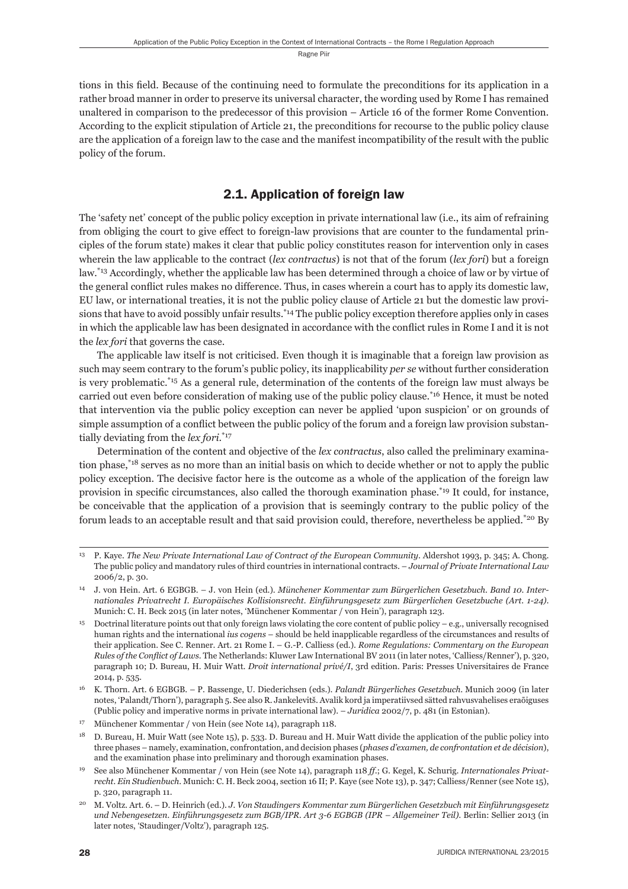tions in this field. Because of the continuing need to formulate the preconditions for its application in a rather broad manner in order to preserve its universal character, the wording used by Rome I has remained unaltered in comparison to the predecessor of this provision – Article 16 of the former Rome Convention. According to the explicit stipulation of Article 21, the preconditions for recourse to the public policy clause are the application of a foreign law to the case and the manifest incompatibility of the result with the public policy of the forum.

## 2.1. Application of foreign law

The 'safety net' concept of the public policy exception in private international law (i.e., its aim of refraining from obliging the court to give effect to foreign-law provisions that are counter to the fundamental principles of the forum state) makes it clear that public policy constitutes reason for intervention only in cases wherein the law applicable to the contract (*lex contractus*) is not that of the forum (*lex fori*) but a foreign law.\*13 Accordingly, whether the applicable law has been determined through a choice of law or by virtue of the general conflict rules makes no difference. Thus, in cases wherein a court has to apply its domestic law, EU law, or international treaties, it is not the public policy clause of Article 21 but the domestic law provisions that have to avoid possibly unfair results.<sup>\*14</sup> The public policy exception therefore applies only in cases in which the applicable law has been designated in accordance with the conflict rules in Rome I and it is not the *lex fori* that governs the case.

The applicable law itself is not criticised. Even though it is imaginable that a foreign law provision as such may seem contrary to the forum's public policy, its inapplicability *per se* without further consideration is very problematic.\*15 As a general rule, determination of the contents of the foreign law must always be carried out even before consideration of making use of the public policy clause.\*16 Hence, it must be noted that intervention via the public policy exception can never be applied 'upon suspicion' or on grounds of simple assumption of a conflict between the public policy of the forum and a foreign law provision substantially deviating from the *lex fori*. \*17

Determination of the content and objective of the *lex contractus*, also called the preliminary examination phase,\*18 serves as no more than an initial basis on which to decide whether or not to apply the public policy exception. The decisive factor here is the outcome as a whole of the application of the foreign law provision in specific circumstances, also called the thorough examination phase.<sup>\*19</sup> It could, for instance, be conceivable that the application of a provision that is seemingly contrary to the public policy of the forum leads to an acceptable result and that said provision could, therefore, nevertheless be applied.\*20 By

<sup>13</sup> P. Kaye. *The New Private International Law of Contract of the European Community*. Aldershot 1993, p. 345; A. Chong. The public policy and mandatory rules of third countries in international contracts. – *Journal of Private International Law* 2006/2, p. 30.

<sup>14</sup> J. von Hein. Art. 6 EGBGB. – J. von Hein (ed.). *Münchener Kommentar zum Bürgerlichen Gesetzbuch. Band 10. Internationales Privatrecht I. Europäisches Kollisionsrecht. Einführungsgesetz zum Bürgerlichen Gesetzbuche (Art. 1-24)*. Munich: C. H. Beck 2015 (in later notes, 'Münchener Kommentar / von Hein'), paragraph 123.

<sup>15</sup> Doctrinal literature points out that only foreign laws violating the core content of public policy – e.g., universally recognised human rights and the international *ius cogens* – should be held inapplicable regardless of the circumstances and results of their application. See C. Renner. Art. 21 Rome I. – G.-P. Calliess (ed.). *Rome Regulations: Commentary on the European Rules of the Conflict of Laws*. The Netherlands: Kluwer Law International BV 2011 (in later notes, 'Calliess/Renner'), p. 320, paragraph 10; D. Bureau, H. Muir Watt. *Droit international privé/I*, 3rd edition. Paris: Presses Universitaires de France 2014, p. 535.

<sup>16</sup> K. Thorn. Art. 6 EGBGB. – P. Bassenge, U. Diederichsen (eds.). *Palandt Bürgerliches Gesetzbuch*. Munich 2009 (in later notes, 'Palandt/Thorn'), paragraph 5. See also R. Jankelevitš. Avalik kord ja imperatiivsed sätted rahvusvahelises eraõiguses (Public policy and imperative norms in private international law). – *Juridica* 2002/7, p. 481 (in Estonian).

<sup>17</sup> Münchener Kommentar / von Hein (see Note 14), paragraph 118.

<sup>18</sup> D. Bureau, H. Muir Watt (see Note 15), p. 533. D. Bureau and H. Muir Watt divide the application of the public policy into three phases – namely, examination, confrontation, and decision phases (*phases d'examen, de confrontation et de décision*), and the examination phase into preliminary and thorough examination phases.

<sup>19</sup> See also Münchener Kommentar / von Hein (see Note 14), paragraph 118 *ff*.; G. Kegel, K. Schurig. *Internationales Privatrecht. Ein Studienbuch*. Munich: C. H. Beck 2004, section 16 II; P. Kaye (see Note 13), p. 347; Calliess/Renner (see Note 15), p. 320, paragraph 11.

<sup>20</sup> M. Voltz. Art. 6. – D. Heinrich (ed.). *J. Von Staudingers Kommentar zum Bürgerlichen Gesetzbuch mit Einführungsgesetz und Nebengesetzen. Einführungsgesetz zum BGB/IPR. Art 3-6 EGBGB (IPR – Allgemeiner Teil)*. Berlin: Sellier 2013 (in later notes, 'Staudinger/Voltz'), paragraph 125.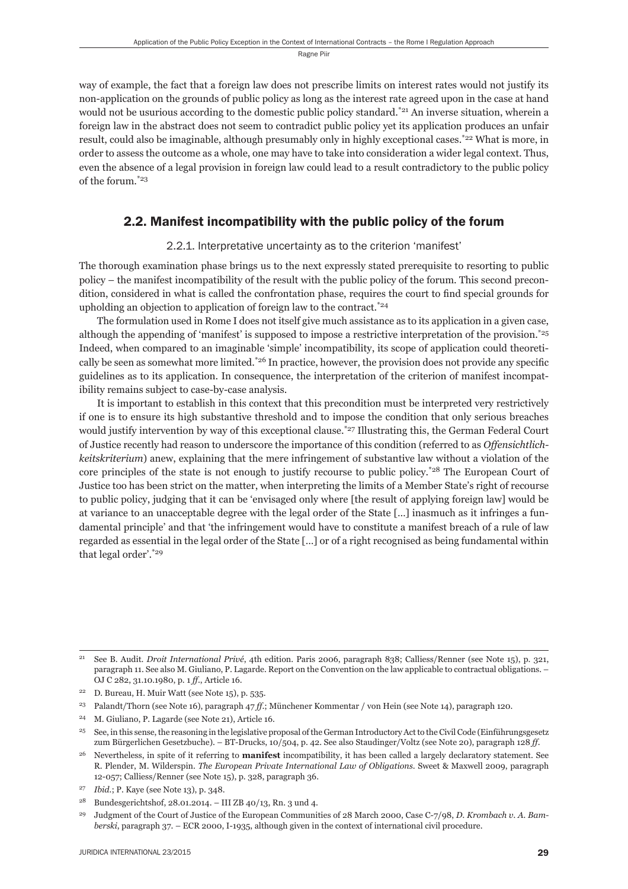way of example, the fact that a foreign law does not prescribe limits on interest rates would not justify its non-application on the grounds of public policy as long as the interest rate agreed upon in the case at hand would not be usurious according to the domestic public policy standard.<sup>\*21</sup> An inverse situation, wherein a foreign law in the abstract does not seem to contradict public policy yet its application produces an unfair result, could also be imaginable, although presumably only in highly exceptional cases.<sup>\*22</sup> What is more, in order to assess the outcome as a whole, one may have to take into consideration a wider legal context. Thus, even the absence of a legal provision in foreign law could lead to a result contradictory to the public policy of the forum.\*23

### 2.2. Manifest incompatibility with the public policy of the forum

2.2.1. Interpretative uncertainty as to the criterion 'manifest'

The thorough examination phase brings us to the next expressly stated prerequisite to resorting to public policy – the manifest incompatibility of the result with the public policy of the forum. This second precondition, considered in what is called the confrontation phase, requires the court to find special grounds for upholding an objection to application of foreign law to the contract.\*24

The formulation used in Rome I does not itself give much assistance as to its application in a given case, although the appending of 'manifest' is supposed to impose a restrictive interpretation of the provision.\*25 Indeed, when compared to an imaginable 'simple' incompatibility, its scope of application could theoretically be seen as somewhat more limited.\* $26$  In practice, however, the provision does not provide any specific guidelines as to its application. In consequence, the interpretation of the criterion of manifest incompatibility remains subject to case-by-case analysis.

It is important to establish in this context that this precondition must be interpreted very restrictively if one is to ensure its high substantive threshold and to impose the condition that only serious breaches would justify intervention by way of this exceptional clause.\*27 Illustrating this, the German Federal Court of Justice recently had reason to underscore the importance of this condition (referred to as *Offensichtlichkeitskriterium*) anew, explaining that the mere infringement of substantive law without a violation of the core principles of the state is not enough to justify recourse to public policy.\*28 The European Court of Justice too has been strict on the matter, when interpreting the limits of a Member State's right of recourse to public policy, judging that it can be 'envisaged only where [the result of applying foreign law] would be at variance to an unacceptable degree with the legal order of the State […] inasmuch as it infringes a fundamental principle' and that 'the infringement would have to constitute a manifest breach of a rule of law regarded as essential in the legal order of the State […] or of a right recognised as being fundamental within that legal order'.\*29

<sup>21</sup> See B. Audit. *Droit International Privé*, 4th edition. Paris 2006, paragraph 838; Calliess/Renner (see Note 15), p. 321, paragraph 11. See also M. Giuliano, P. Lagarde. Report on the Convention on the law applicable to contractual obligations. – OJ C 282, 31.10.1980, p. 1 *ff*., Article 16.

<sup>&</sup>lt;sup>22</sup> D. Bureau, H. Muir Watt (see Note  $15$ ), p. 535.

<sup>23</sup> Palandt/Thorn (see Note 16), paragraph 47 *ff*.; Münchener Kommentar / von Hein (see Note 14), paragraph 120.

<sup>24</sup> M. Giuliano, P. Lagarde (see Note 21), Article 16.

<sup>&</sup>lt;sup>25</sup> See, in this sense, the reasoning in the legislative proposal of the German Introductory Act to the Civil Code (Einführungsgesetz zum Bürgerlichen Gesetzbuche). – BT-Drucks, 10/504, p. 42. See also Staudinger/Voltz (see Note 20), paragraph 128 *ff*.

<sup>26</sup> Nevertheless, in spite of it referring to **manifest** incompatibility, it has been called a largely declaratory statement. See R. Plender, M. Wilderspin. *The European Private International Law of Obligations*. Sweet & Maxwell 2009, paragraph 12-057; Calliess/Renner (see Note 15), p. 328, paragraph 36.

<sup>27</sup> *Ibid.*; P. Kaye (see Note 13), p. 348.

<sup>28</sup> Bundesgerichtshof, 28.01.2014. – III ZB 40/13, Rn. 3 und 4.

<sup>29</sup> Judgment of the Court of Justice of the European Communities of 28 March 2000, Case C-7/98, *D. Krombach v. A. Bamberski*, paragraph 37. – ECR 2000, I-1935, although given in the context of international civil procedure.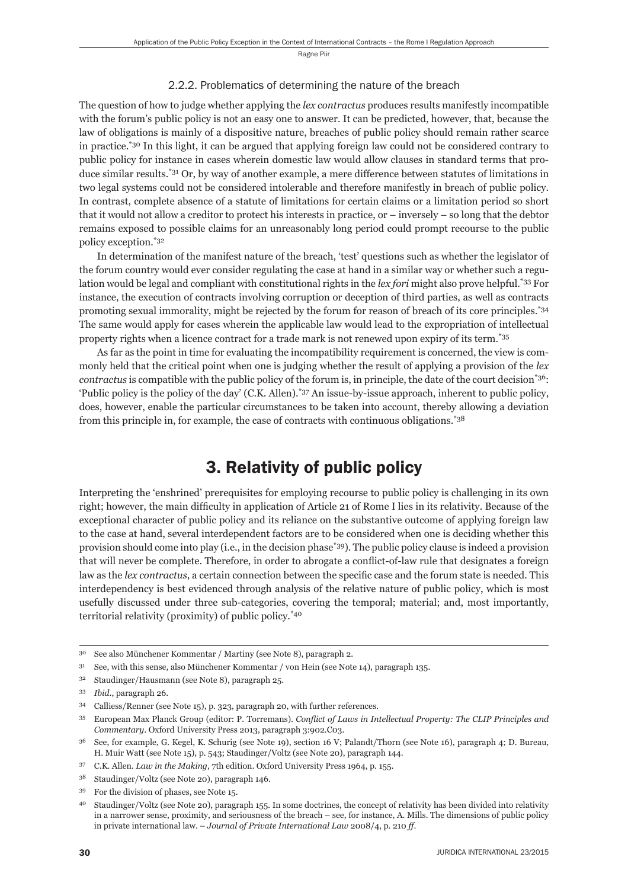#### 2.2.2. Problematics of determining the nature of the breach

The question of how to judge whether applying the *lex contractus* produces results manifestly incompatible with the forum's public policy is not an easy one to answer. It can be predicted, however, that, because the law of obligations is mainly of a dispositive nature, breaches of public policy should remain rather scarce in practice.\*30 In this light, it can be argued that applying foreign law could not be considered contrary to public policy for instance in cases wherein domestic law would allow clauses in standard terms that produce similar results.\*31 Or, by way of another example, a mere difference between statutes of limitations in two legal systems could not be considered intolerable and therefore manifestly in breach of public policy. In contrast, complete absence of a statute of limitations for certain claims or a limitation period so short that it would not allow a creditor to protect his interests in practice, or – inversely – so long that the debtor remains exposed to possible claims for an unreasonably long period could prompt recourse to the public policy exception.\*32

In determination of the manifest nature of the breach, 'test' questions such as whether the legislator of the forum country would ever consider regulating the case at hand in a similar way or whether such a regulation would be legal and compliant with constitutional rights in the *lex fori* might also prove helpful.\*33 For instance, the execution of contracts involving corruption or deception of third parties, as well as contracts promoting sexual immorality, might be rejected by the forum for reason of breach of its core principles.\*34 The same would apply for cases wherein the applicable law would lead to the expropriation of intellectual property rights when a licence contract for a trade mark is not renewed upon expiry of its term.\*35

As far as the point in time for evaluating the incompatibility requirement is concerned, the view is commonly held that the critical point when one is judging whether the result of applying a provision of the *lex contractus* is compatible with the public policy of the forum is, in principle, the date of the court decision<sup>\*36</sup>: 'Public policy is the policy of the day' (C.K. Allen).\*37 An issue-by-issue approach, inherent to public policy, does, however, enable the particular circumstances to be taken into account, thereby allowing a deviation from this principle in, for example, the case of contracts with continuous obligations.\*38

## 3. Relativity of public policy

Interpreting the 'enshrined' prerequisites for employing recourse to public policy is challenging in its own right; however, the main difficulty in application of Article 21 of Rome I lies in its relativity. Because of the exceptional character of public policy and its reliance on the substantive outcome of applying foreign law to the case at hand, several interdependent factors are to be considered when one is deciding whether this provision should come into play (i.e., in the decision phase\*39). The public policy clause is indeed a provision that will never be complete. Therefore, in order to abrogate a conflict-of-law rule that designates a foreign law as the *lex contractus*, a certain connection between the specific case and the forum state is needed. This interdependency is best evidenced through analysis of the relative nature of public policy, which is most usefully discussed under three sub-categories, covering the temporal; material; and, most importantly, territorial relativity (proximity) of public policy.\*40

<sup>30</sup> See also Münchener Kommentar / Martiny (see Note 8), paragraph 2.

<sup>31</sup> See, with this sense, also Münchener Kommentar / von Hein (see Note 14), paragraph 135.

<sup>32</sup> Staudinger/Hausmann (see Note 8), paragraph 25.

<sup>33</sup> *Ibid*., paragraph 26.

<sup>34</sup> Calliess/Renner (see Note 15), p. 323, paragraph 20, with further references.

<sup>&</sup>lt;sup>35</sup> European Max Planck Group (editor: P. Torremans). *Conflict of Laws in Intellectual Property: The CLIP Principles and Commentary*. Oxford University Press 2013, paragraph 3:902.C03.

<sup>36</sup> See, for example, G. Kegel, K. Schurig (see Note 19), section 16 V; Palandt/Thorn (see Note 16), paragraph 4; D. Bureau, H. Muir Watt (see Note 15), p. 543; Staudinger/Voltz (see Note 20), paragraph 144.

<sup>37</sup> C.K. Allen. *Law in the Making*, 7th edition. Oxford University Press 1964, p. 155.

<sup>38</sup> Staudinger/Voltz (see Note 20), paragraph 146.

<sup>39</sup> For the division of phases, see Note 15.

<sup>40</sup> Staudinger/Voltz (see Note 20), paragraph 155. In some doctrines, the concept of relativity has been divided into relativity in a narrower sense, proximity, and seriousness of the breach – see, for instance, A. Mills. The dimensions of public policy in private international law. – *Journal of Private International Law* 2008/4, p. 210 *ff*.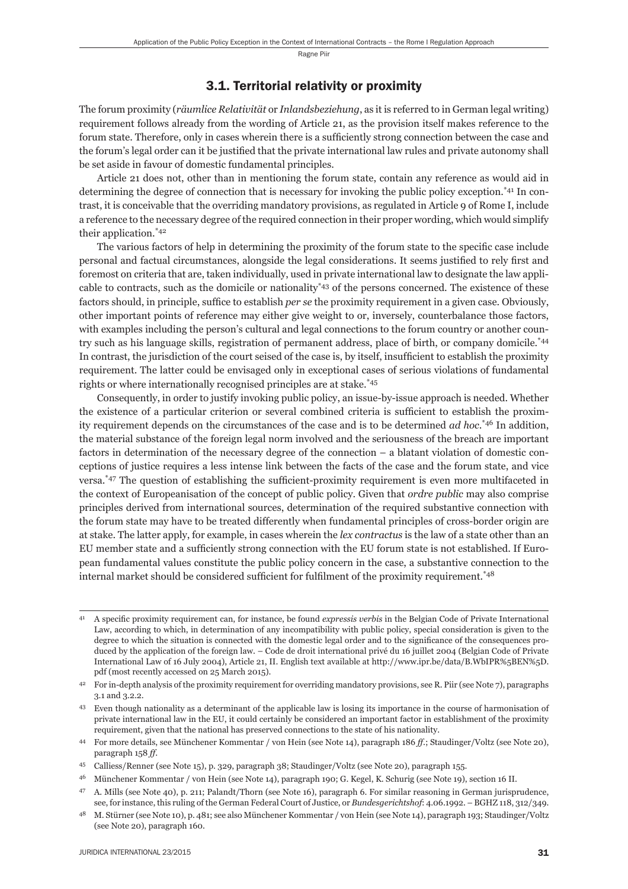#### 3.1. Territorial relativity or proximity

The forum proximity (*räumlice Relativität* or *Inlandsbeziehung*, as it is referred to in German legal writing) requirement follows already from the wording of Article 21, as the provision itself makes reference to the forum state. Therefore, only in cases wherein there is a sufficiently strong connection between the case and the forum's legal order can it be justified that the private international law rules and private autonomy shall be set aside in favour of domestic fundamental principles.

Article 21 does not, other than in mentioning the forum state, contain any reference as would aid in determining the degree of connection that is necessary for invoking the public policy exception.\*41 In contrast, it is conceivable that the overriding mandatory provisions, as regulated in Article 9 of Rome I, include a reference to the necessary degree of the required connection in their proper wording, which would simplify their application.\*42

The various factors of help in determining the proximity of the forum state to the specific case include personal and factual circumstances, alongside the legal considerations. It seems justified to rely first and foremost on criteria that are, taken individually, used in private international law to designate the law applicable to contracts, such as the domicile or nationality\*43 of the persons concerned. The existence of these factors should, in principle, suffice to establish *per se* the proximity requirement in a given case. Obviously, other important points of reference may either give weight to or, inversely, counterbalance those factors, with examples including the person's cultural and legal connections to the forum country or another country such as his language skills, registration of permanent address, place of birth, or company domicile.\*44 In contrast, the jurisdiction of the court seised of the case is, by itself, insufficient to establish the proximity requirement. The latter could be envisaged only in exceptional cases of serious violations of fundamental rights or where internationally recognised principles are at stake.\*45

Consequently, in order to justify invoking public policy, an issue-by-issue approach is needed. Whether the existence of a particular criterion or several combined criteria is sufficient to establish the proximity requirement depends on the circumstances of the case and is to be determined *ad hoc*. \*46 In addition, the material substance of the foreign legal norm involved and the seriousness of the breach are important factors in determination of the necessary degree of the connection – a blatant violation of domestic conceptions of justice requires a less intense link between the facts of the case and the forum state, and vice versa.<sup>\*47</sup> The question of establishing the sufficient-proximity requirement is even more multifaceted in the context of Europeanisation of the concept of public policy. Given that *ordre public* may also comprise principles derived from international sources, determination of the required substantive connection with the forum state may have to be treated differently when fundamental principles of cross-border origin are at stake. The latter apply, for example, in cases wherein the *lex contractus* is the law of a state other than an EU member state and a sufficiently strong connection with the EU forum state is not established. If European fundamental values constitute the public policy concern in the case, a substantive connection to the internal market should be considered sufficient for fulfilment of the proximity requirement.<sup>\*48</sup>

<sup>&</sup>lt;sup>41</sup> A specific proximity requirement can, for instance, be found *expressis verbis* in the Belgian Code of Private International Law, according to which, in determination of any incompatibility with public policy, special consideration is given to the degree to which the situation is connected with the domestic legal order and to the significance of the consequences produced by the application of the foreign law. – Code de droit international privé du 16 juillet 2004 (Belgian Code of Private International Law of 16 July 2004), Article 21, II. English text available at http://www.ipr.be/data/B.WbIPR%5BEN%5D. pdf (most recently accessed on 25 March 2015).

<sup>&</sup>lt;sup>42</sup> For in-depth analysis of the proximity requirement for overriding mandatory provisions, see R. Piir (see Note 7), paragraphs 3.1 and 3.2.2.

<sup>43</sup> Even though nationality as a determinant of the applicable law is losing its importance in the course of harmonisation of private international law in the EU, it could certainly be considered an important factor in establishment of the proximity requirement, given that the national has preserved connections to the state of his nationality.

<sup>44</sup> For more details, see Münchener Kommentar / von Hein (see Note 14), paragraph 186 *ff*.; Staudinger/Voltz (see Note 20), paragraph 158 *ff*.

<sup>45</sup> Calliess/Renner (see Note 15), p. 329, paragraph 38; Staudinger/Voltz (see Note 20), paragraph 155.

<sup>46</sup> Münchener Kommentar / von Hein (see Note 14), paragraph 190; G. Kegel, K. Schurig (see Note 19), section 16 II.

<sup>47</sup> A. Mills (see Note 40), p. 211; Palandt/Thorn (see Note 16), paragraph 6. For similar reasoning in German jurisprudence, see, for instance, this ruling of the German Federal Court of Justice, or *Bundesgerichtshof*: 4.06.1992. – BGHZ 118, 312/349.

<sup>&</sup>lt;sup>48</sup> M. Stürner (see Note 10), p. 481; see also Münchener Kommentar / von Hein (see Note 14), paragraph 193; Staudinger/Voltz (see Note 20), paragraph 160.